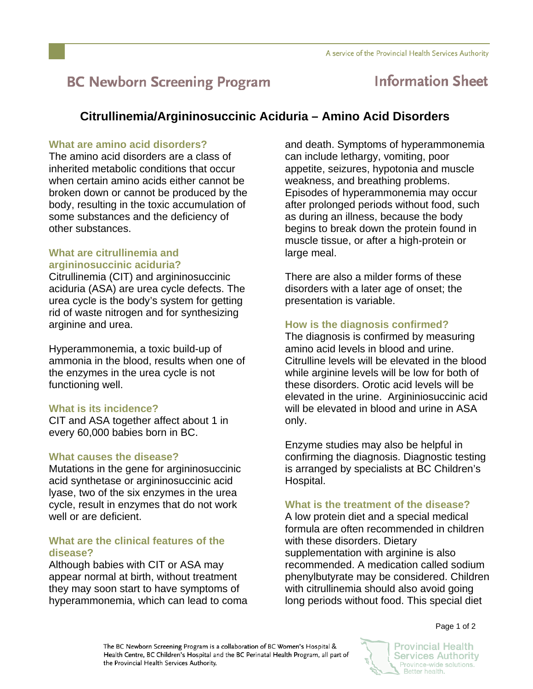# **BC Newborn Screening Program**

## **Information Sheet**

### **Citrullinemia/Argininosuccinic Aciduria – Amino Acid Disorders**

#### **What are amino acid disorders?**

The amino acid disorders are a class of inherited metabolic conditions that occur when certain amino acids either cannot be broken down or cannot be produced by the body, resulting in the toxic accumulation of some substances and the deficiency of other substances.

### **What are citrullinemia and argininosuccinic aciduria?**

Citrullinemia (CIT) and argininosuccinic aciduria (ASA) are urea cycle defects. The urea cycle is the body's system for getting rid of waste nitrogen and for synthesizing arginine and urea.

Hyperammonemia, a toxic build-up of ammonia in the blood, results when one of the enzymes in the urea cycle is not functioning well.

#### **What is its incidence?**

CIT and ASA together affect about 1 in every 60,000 babies born in BC.

#### **What causes the disease?**

Mutations in the gene for argininosuccinic acid synthetase or argininosuccinic acid lyase, two of the six enzymes in the urea cycle, result in enzymes that do not work well or are deficient.

#### **What are the clinical features of the disease?**

Although babies with CIT or ASA may appear normal at birth, without treatment they may soon start to have symptoms of hyperammonemia, which can lead to coma and death. Symptoms of hyperammonemia can include lethargy, vomiting, poor appetite, seizures, hypotonia and muscle weakness, and breathing problems. Episodes of hyperammonemia may occur after prolonged periods without food, such as during an illness, because the body begins to break down the protein found in muscle tissue, or after a high-protein or large meal.

There are also a milder forms of these disorders with a later age of onset; the presentation is variable.

### **How is the diagnosis confirmed?**

The diagnosis is confirmed by measuring amino acid levels in blood and urine. Citrulline levels will be elevated in the blood while arginine levels will be low for both of these disorders. Orotic acid levels will be elevated in the urine. Argininiosuccinic acid will be elevated in blood and urine in ASA only.

Enzyme studies may also be helpful in confirming the diagnosis. Diagnostic testing is arranged by specialists at BC Children's Hospital.

### **What is the treatment of the disease?**

A low protein diet and a special medical formula are often recommended in children with these disorders. Dietary supplementation with arginine is also recommended. A medication called sodium phenylbutyrate may be considered. Children with citrullinemia should also avoid going long periods without food. This special diet

Page 1 of 2